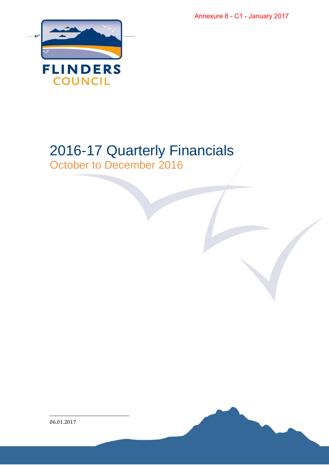Annexure 8 - C1 - January 2017



## 2016-17 Quarterly Financials

October to December 2016

l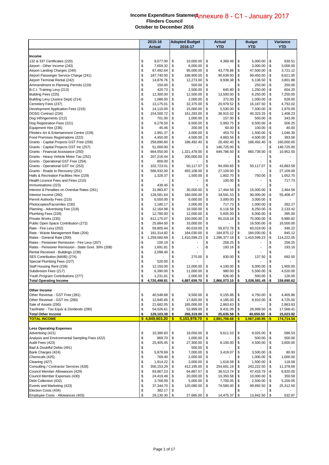## **Income Expenditure Statement** + Expenditure Stateme<u>成nnexure</u> 8 - C1 - January 2017<br>Flinders Council **October to December 2016**

|                                                                                 |           | 2015-16             |          | <b>Adopted Budget</b>    |           | Actual              |          | <b>Budget</b>        |            | Variance           |  |
|---------------------------------------------------------------------------------|-----------|---------------------|----------|--------------------------|-----------|---------------------|----------|----------------------|------------|--------------------|--|
|                                                                                 |           | <b>Actual</b>       |          | 2016-17                  |           | <b>YTD</b>          |          | <b>YTD</b>           |            | <b>YTD</b>         |  |
| Income                                                                          |           |                     |          |                          |           |                     |          |                      |            |                    |  |
| 132 & 337 Certificates (220)                                                    | \$        | 9,077.00            | \$       | 10,000.00                | \$        | 4,369.49            | \$       | 5,000.00             | -\$        | 630.51             |  |
| Airport - Other Income (243)                                                    | \$        | 7,659.32            | \$       | 6,000.00                 | \$        |                     | \$       | 3,000.00             | -\$        | 3,000.00           |  |
| Airport Landing Charges (240)                                                   | \$        | 87,492.64           | \$       | 95,000.00                | \$        | 43,778.88           | \$       | 47,500.00            | -\$        | 3,721.12           |  |
| Airport Passenger Service Charge (241)                                          | \$        | 187,740.00          | \$       | 198,900.00               | \$        | 90,639.00           | \$       | 99,450.00            | -\$        | 8,811.00           |  |
| Airport Terminal Rental (242)                                                   | \$        | 14,876.76           | \$       | 12,273.00                | \$        | 9,938.38            | \$       | 6,136.50             | \$         | 3,801.88           |  |
| Ammendment to Planning Permits (219)                                            | \$<br>-\$ | 150.00              | \$       | 500.00                   | \$<br>\$  |                     | \$<br>\$ | 250.00               | -\$<br>-\$ | 250.00<br>604.20   |  |
| B.C.I. Training Levy (213)<br>Building Fees (225)                               | \$        | 420.73<br>12,300.00 | \$<br>\$ | 2,500.00<br>12,500.00    | \$        | 645.80<br>13,500.00 | \$       | 1,250.00<br>6,250.00 | \$         | 7,250.00           |  |
| Building Levy (Justice Dept) (214)                                              | -\$       | 1,086.00            | \$       | 2,000.00                 | \$        | 372.00              | \$       | 1,000.00             | -\$        | 628.00             |  |
| Cemetery Fees (237)                                                             | \$        | 13,175.01           | \$       | 32,375.00                | \$        | 20,979.52           | \$       | 16,187.50            | \$         | 4,792.02           |  |
| Development Application Fees (216)                                              | \$        | 14,110.00           | \$       | 15,000.00                | \$        | 5,530.00            | \$       | 7,500.00             | -\$        | 1,970.00           |  |
| DOSG Contract (234)                                                             | \$        | 154,500.72          | \$       | 161,293.00               | \$        | 38,915.02           | \$       | 40,323.25            | -\$        | 1,408.23           |  |
| Dog Infringements (212)                                                         | \$        | 701.00              | \$       | 1,000.00                 | \$        | 157.00              | \$       | 500.00               | -\$        | 343.00             |  |
| Dog Registration Fees (221)                                                     | \$        | 6,278.50            | \$       | 6,500.00                 | \$        | 5,993.75            | \$       | 6,500.00             | -\$        | 506.25             |  |
| Equipment Hire (236)                                                            | \$        | 45.46               | \$       | 200.00                   | \$        | 60.00               | \$       | 100.00               | -\$        | 40.00              |  |
| Flinders Art & Entertainment Centre (228)                                       | \$        | 2,991.37            | \$       | 3,000.00                 | \$        | 453.70              | \$       | 1,500.00             | -\$        | 1,046.30           |  |
| Food Premises Registrations (222)                                               | \$        | 4,450.00            | \$       | 4,500.00                 | \$        | 4,883.56            | \$       | 4,500.00             | \$         | 383.56             |  |
| Grants - Capital Projects GST Free (256)                                        | \$        | 258,890.60          | \$       | 186,492.40               | \$        | 26,492.40           | \$       | 186,492.40           | -\$        | 160,000.00         |  |
| Grants - Capital Projects GST Inc (257)                                         | \$        | 51,000.00           | \$       |                          | \$        | 146,725.00          | \$       |                      | \$         | 146,725.00         |  |
| Grants - Financial Assistance (250)                                             | \$        | 664,550.00          | \$       | 1,321,478.00             | \$        | 649,786.50          | \$       | 660,739.00           | -\$        | 10,952.50          |  |
| Grants - Heavy Vehicle Motor Tax (252)                                          | \$        | 207,216.44          | \$       | 200,000.00               | \$        |                     | \$       |                      | \$         |                    |  |
| Grants - Operational GST Free (254)                                             | \$        | 800.00              | \$       |                          | \$        |                     | \$       |                      | \$         |                    |  |
| Grants - Operational GST Inc (253)                                              | \$        | 102,723.01          | \$       | 50,117.07                | \$        | 94,000.65           | \$       | 50,117.07            | \$         | 43,883.58          |  |
| Grants - Roads to Recovery (251)                                                | \$        | 566,932.00          | \$       | 455,108.00               | \$        | 27,109.00           | \$       |                      | \$         | 27,109.00          |  |
| Halls & Recreation Facilities Hire (229)<br>Health Licence Fees and Fines (210) | \$<br>\$  | 1,328.37            | \$<br>\$ | 1,500.00                 | \$<br>-\$ | 1,802.70<br>100.00  | \$<br>\$ | 750.00               | \$<br>\$   | 1,052.70<br>717.73 |  |
| Immunisations (223)                                                             | \$        | 439.45              | \$       |                          | \$        |                     | \$       |                      | \$         |                    |  |
| Interest & Penalties on Overdue Rates (261)                                     | \$        | 31,983.87           | \$       | 30,000.00                | \$        | 17,464.56           | \$       | 15,000.00            | \$         | 2,464.56           |  |
| Interest Income (260)                                                           | \$        | 128,581.64          | \$       | 180,000.00               | \$        | 34,591.53           | \$       | 90,000.00            | -\$        | 55,408.47          |  |
| Permit Authority Fees (215)                                                     | \$        | 6,550.00            | \$       | 6,000.00                 | \$        | 3,000.00            | \$       | 3,000.00             | \$         |                    |  |
| Photocopies/Facsimiles (230)                                                    | \$        | 1,180.17            | \$       | 2,000.00                 | \$        | 717.73              | \$       | 1,000.00             | -\$        | 282.27             |  |
| Planning - Advertising Fee (218)                                                | \$        | 12,164.98           | \$       | 16,500.00                | \$        | 6,116.58            | \$       | 8,250.00             | -\$        | 2,133.42           |  |
| Plumbing Fees (226)                                                             | \$        | 12,780.00           | \$       | 12,000.00                | \$        | 5,605.00            | \$       | 6,000.00             | -\$        | 395.00             |  |
| Private Works (235)                                                             | \$        | 612,175.07          | \$       | 150,000.00               | \$        | 65,019.18           | \$       | 75,000.00            | -\$        | 9,980.82           |  |
| Public Open Space Contribution (272)                                            | \$        | 25,884.00           | \$       | 33,000.00                | \$        |                     | \$       | 16,500.00            | -\$        | 16,500.00          |  |
| Rate - Fire Levy (202)                                                          | \$        | 59,805.44           | \$       | 60,019.00                | \$        | 59,672.78           | \$       | 60,019.00            | -\$        | 346.22             |  |
| Rate - Waste Management Rate (204)                                              | \$        | 181,314.82          | \$       | 184,030.00               | \$        | 184,875.12          | \$       | 184,030.00           | \$         | 845.12             |  |
| Rates - General Rate (200)                                                      | \$        | 1,259,560.69        | \$       | 1,410,599.23             | \$        | 1,296,377.18        | \$       | 1,410,599.23         | -\$        | 114,222.05         |  |
| Rates - Pensioner Remission - Fire Levy (207)                                   | -\$       | 100.19              | \$       |                          | \$        | 258.25              | \$       |                      | \$         | 258.25             |  |
| Rates - Pensioner Remission - State Govt. 30% (208)                             | -\$       | 1,691.81            | \$       | $\overline{\phantom{a}}$ | -\$       | 193.16              | \$       |                      | -\$        | 193.16             |  |
| Rental Received - Buildings (238)                                               | \$        | 2,098.40            | \$       |                          |           |                     | \$       |                      | \$         |                    |  |
| SES Contribution (MAIB) (274)                                                   | \$        |                     | \$       | 275.00                   | \$        | 830.00              | \$       | 137.50               | \$         | 692.50             |  |
| Special Plumbing Fees (227)                                                     | \$        | 520.00              | \$       |                          |           |                     | \$       |                      | \$         |                    |  |
| Staff Housing Rent (239)                                                        | \$        | 12,150.00           | \$       | 12,000.00                | \$        | 4,100.00            | \$       | 6,000.00             | -\$        | 1,900.00           |  |
| Subdivision Fees (217)                                                          | \$        | 6,390.00            | \$       | 11,000.00                | \$        | 980.00              | \$       | 5,500.00             | -\$        | 4,520.00           |  |
| Youth Program Contributions (277)                                               | \$        | 1,231.81            | \$       | 2,000.00                 | \$        | 626.00              | \$       | 500.00               | \$         | 126.00             |  |
| <b>Total Operating Income</b>                                                   | \$        | 4,720,499.81        | \$       | 4,887,659.70             | \$        | 2,866,073.10        | \$       | 3,026,581.45         | -\$        | 159,690.62         |  |
| Other Income                                                                    |           |                     |          |                          |           |                     |          |                      |            |                    |  |
| Other Revenue - GST Free (281)                                                  | \$        | 40,548.88           | \$       | 9,500.00                 | \$        | 9,155.86            | \$       | 4,750.00             | \$         | 4,405.86           |  |
| Other Revenue - GST Inc (280)                                                   | \$        | 12,845.85           | \$       | 17,820.00                | \$        | 4,185.00            | \$       | 8,910.00             | -\$        | 4,725.00           |  |
| Sale of Assets (295)                                                            | \$        | 21,682.05           | \$       | 185,000.00               | \$        | 2,863.63            | \$       |                      | \$         | 2,863.63           |  |
| TasWater - Tax Equiv & Dividends (290)                                          | \$        | 54,026.61           | \$       | 53,999.00                | \$        | 9,431.09            | \$       | 26,999.50            | -\$        | 17,568.41          |  |
| <b>Total Other Income</b>                                                       | \$        | 129,103.39          | \$       | 266,319.00               | \$        | 25,635.58           | \$       | 40,659.50            | -\$        | 15,023.92          |  |
| <b>TOTAL INCOME</b>                                                             |           | \$4,849,603.20      | \$       | 5,153,978.70             | \$        | 2,891,708.68        | \$       | 3,067,240.95         | -\$        | 174,714.54         |  |
| <b>Less Operating Expenses</b>                                                  |           |                     |          |                          |           |                     |          |                      |            |                    |  |
| Advertising (421)                                                               | \$        | 10,380.83           | \$       | 18,050.00                | \$        | 9,611.53            | \$       | 9,025.00             | \$         | 586.53             |  |
| Analysis and Environmental Sampling Fees (422)                                  | \$        | 869.70              | \$       | 1,000.00                 | \$        |                     | \$       | 500.00               | -\$        | 500.00             |  |
| Audit Fees (423)                                                                | \$        | 25,405.45           | \$       | 27,300.00                | \$        | 8,100.00            | \$       | 4,500.00             | \$         | 3,600.00           |  |
| Bad & Doubtful Debts (491)                                                      | \$        |                     | \$       | 500.00                   | \$        |                     | \$       |                      | \$         |                    |  |
| Bank Charges (424)                                                              | \$        | 5,878.69            | \$       | 7,000.00                 | \$        | 3,419.07            | \$       | 3,500.00             | -\$        | 80.93              |  |
| Chemicals (425)                                                                 | \$        | 769.40              | \$       | 2,000.00                 | \$        |                     | \$       | 1,000.00             | -\$        | 1,000.00           |  |
| Cleaning (427)                                                                  | \$        | 1,914.22            | \$       | 3,000.00                 | \$        | 1,618.58            | \$       | 1,500.00             | \$         | 118.58             |  |
| Consulting / Contractor Services (428)                                          | \$        | 356,153.29          | \$       | 412,195.00               | \$        | 254,601.19          | \$       | 243,222.50           | \$         | 11,378.69          |  |
| Council Member Allowances (429)                                                 | \$        | 83,867.23           | \$       | 94,867.57                | \$        | 38,513.74           | \$       | 47,433.79            | -\$        | 8,920.05           |  |
| Council Member Expenses (430)                                                   | \$        | 24,419.48           | \$       | 20,000.00                | \$        | 10,350.58           | \$       | 10,000.00            | \$         | 350.58             |  |
| Debt Collection (432)                                                           | \$        | 3,768.09            | \$       | 5,000.00                 | \$        | 7,700.05            | \$       | 2,500.00             | \$         | 5,200.05           |  |
| Events and Marketing (433)                                                      | \$        | 37,344.70           | \$       | 120,080.00               | \$        | 74,580.00           | \$       | 99,892.50            | -\$        | 25,312.50          |  |
| Election Costs (434)                                                            | \$        | 382.17              | \$       |                          |           |                     |          |                      | S          |                    |  |
| Employee Costs - Allowances (403)                                               | \$        | 29,130.30           | \$       | 27,685.00 \$             |           | 14,475.37           | \$       | 13,842.50            | \$         | 632.87             |  |